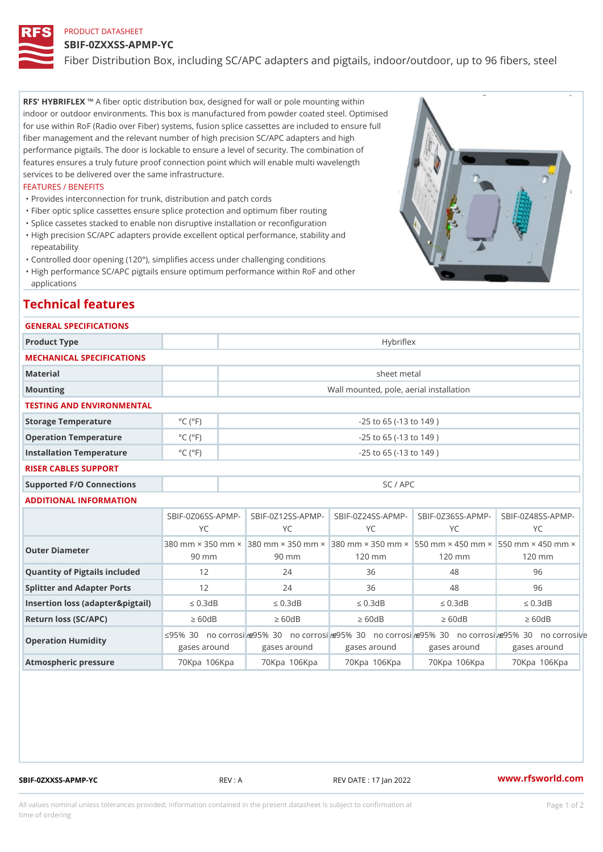## PRODUCT DATASHEET

## SBIF-0ZXXSS-APMP-YC

Fiber Distribution Box, including SC/APC adapters and pigtails, indoor

RFS' HYBRIFLEX ber optic distribution box, designed for wall or pole mounting within indoor or outdoor environments. This box is manufactured from powder coated steel. Optimised for use within RoF (Radio over Fiber) systems, fusion splice cassettes are included to ensure full fiber management and the relevant number of high precision SC/APC adapters and high performance pigtails. The door is lockable to ensure a level of security. The combination of features ensures a truly future proof connection point which will enable multi wavelength services to be delivered over the same infrastructure.

### FEATURES / BENEFITS

"Provides interconnection for trunk, distribution and patch cords

- "Fiber optic splice cassettes ensure splice protection and optimum fiber routing
- "Splice cassetes stacked to enable non disruptive installation or reconfiguration
- "High precision SC/APC adapters provide excellent optical performance, stability and repeatability
- "Controlled door opening (120°), simplifies access under challenging conditions
- "High performance SC/APC pigtails ensure optimum performance within RoF and other
- applications

## Technical features

#### GENERAL SPECIFICATIONS

| Product Type                |                              | Hybriflex                               |
|-----------------------------|------------------------------|-----------------------------------------|
| MECHANICAL SPECIFICATIONS   |                              |                                         |
| Material                    |                              | sheet metal                             |
| Mounting                    |                              | Wall mounted, pole, aerial installation |
| TESTING AND ENVIRONMENTAL   |                              |                                         |
| Storage Temperature         | $^{\circ}$ C ( $^{\circ}$ F  | $-25$ to $65$ ( $-13$ to $149$ )        |
| Operation Temperature       | $^{\circ}$ C ( $^{\circ}$ F) | $-25$ to 65 ( $-13$ to 149)             |
| Installation Temperature    | $^{\circ}$ C ( $^{\circ}$ F) | $-25$ to 65 ( $-13$ to 149)             |
| <b>DIOED OADLES SUBBODT</b> |                              |                                         |

## RISER CABLES SUPPORT

Supported F/O Connections and SC / APC

#### ADDITIONAL INFORMATION

|                                      | Y C     | Y C                | Y C               | Y C        | SBIF-0Z06SS-ASPENIP-0Z12SS-ASPENIP-0Z24SS-ASPENIP-0Z36SS-ASPENIP-0Z48SS-APN<br>Y C                                                                                              |  |
|--------------------------------------|---------|--------------------|-------------------|------------|---------------------------------------------------------------------------------------------------------------------------------------------------------------------------------|--|
| Outer Diameter                       | $90$ mm | 90 mm              | 120 mm            | 120 mm     | $380$ mm $\times$ $350$ $\beta$ $360$ $\times$ mm $\times$ $350$ $\beta$ $360$ $\times$ mm $\times$ $350$ $\beta$ $500$ $\times$ mm $\times$ $450$ $\beta$ mm $\beta$<br>120 mm |  |
| Quantity of Pigtails included 12     |         | 24                 | 36                | 48         | 96                                                                                                                                                                              |  |
| Splitter and Adapter Ports           | 12      | 24                 | 36                | 48         | 96                                                                                                                                                                              |  |
| Insertion loss (adapter&pigtadlD.3dB |         | " $d \quad 0.3 dB$ | " $d \theta$ .3dB | "d 0.3dB   | " $d \theta$ .3dB                                                                                                                                                               |  |
| Return loss (SC/APC)                 | "e 60dB | "e 60dB            | " $e$ 60dB        | " $e$ 60dB | " $e$ 60dB                                                                                                                                                                      |  |
| Operation Humidity                   |         |                    |                   |            | "d95%ÿ30!ÿno c"ob915o%sÿi3%e!ÿno c"ob915o%sÿi3%e!ÿno c"ob915o%sÿi3&e!ÿno c"ob915o%sÿi3&e!ÿno corr<br>gases around gases around gases around gases around gases around           |  |
| Atmospheric pressure                 |         |                    |                   |            | 70Kpaÿ^106Kpa70Kpaÿ^106Kpa70Kpay^106Kpa70Kpay^106Kpa70Kpa70Kpay^106Kpa                                                                                                          |  |

SBIF-0ZXXSS-APMP-YC REV : A REV DATE : 17 Jan 2022 [www.](https://www.rfsworld.com)rfsworld.com

All values nominal unless tolerances provided; information contained in the present datasheet is subject to Pcapgeign manation time of ordering